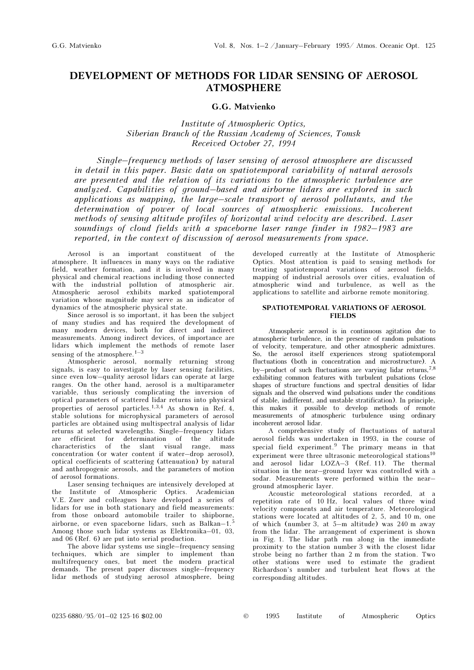# DEVELOPMENT OF METHODS FOR LIDAR SENSING OF AEROSOL ATMOSPHERE

## G.G. Matvienko

Institute of Atmospheric Optics, Siberian Branch of the Russian Academy of Sciences, Tomsk Received October 27, 1994

Single–frequency methods of laser sensing of aerosol atmosphere are discussed in detail in this paper. Basic data on spatiotemporal variability of natural aerosols are presented and the relation of its variations to the atmospheric turbulence are analyzed. Capabilities of ground–based and airborne lidars are explored in such applications as mapping, the large–scale transport of aerosol pollutants, and the determination of power of local sources of atmospheric emissions. Incoherent methods of sensing altitude profiles of horizontal wind velocity are described. Laser soundings of cloud fields with a spaceborne laser range finder in 1982–1983 are reported, in the context of discussion of aerosol measurements from space.

Aerosol is an important constituent of the atmosphere. It influences in many ways on the radiative field, weather formation, and it is involved in many physical and chemical reactions including those connected with the industrial pollution of atmospheric air. Atmospheric aerosol exhibits marked spatiotemporal variation whose magnitude may serve as an indicator of dynamics of the atmospheric physical state.

Since aerosol is so important, it has been the subject of many studies and has required the development of many modern devices, both for direct and indirect measurements. Among indirect devices, of importance are lidars which implement the methods of remote laser sensing of the atmosphere.<sup>1–3</sup>

Atmospheric aerosol, normally returning strong signals, is easy to investigate by laser sensing facilities, since even low–quality aerosol lidars can operate at large ranges. On the other hand, aerosol is a multiparameter variable, thus seriously complicating the inversion of optical parameters of scattered lidar returns into physical properties of aerosol particles.1,3,4 As shown in Ref. 4, stable solutions for microphysical parameters of aerosol particles are obtained using multispectral analysis of lidar returns at selected wavelengths. Single–frequency lidars are efficient for determination of the altitude characteristics of the slant visual range, mass concentration (or water content if water–drop aerosol), optical coefficients of scattering (attenuation) by natural and anthropogenic aerosols, and the parameters of motion of aerosol formations.

Laser sensing techniques are intensively developed at the Institute of Atmospheric Optics. Academician V.E. Zuev and colleagues have developed a series of lidars for use in both stationary and field measurements: from those onboard automobile trailer to shipborne, airborne, or even spaceborne lidars, such as Balkan–1.<sup>5</sup> Among those such lidar systems as Elektronika–01, 03, and 06 (Ref. 6) are put into serial production.

The above lidar systems use single–frequency sensing techniques, which are simpler to implement than multifrequency ones, but meet the modern practical demands. The present paper discusses single–frequency lidar methods of studying aerosol atmosphere, being developed currently at the Institute of Atmospheric Optics. Most attention is paid to sensing methods for treating spatiotemporal variations of aerosol fields, mapping of industrial aerosols over cities, evaluation of atmospheric wind and turbulence, as well as the applications to satellite and airborne remote monitoring.

## SPATIOTEMPORAL VARIATIONS OF AEROSOL FIELDS

Atmospheric aerosol is in continuous agitation due to atmospheric turbulence, in the presence of random pulsations of velocity, temperature, and other atmospheric admixtures. So, the aerosol itself experiences strong spatiotemporal fluctuations (both in concentration and microstructure). A by–product of such fluctuations are varying lidar returns,7,8 exhibiting common features with turbulent pulsations (close shapes of structure functions and spectral densities of lidar signals and the observed wind pulsations under the conditions of stable, indifferent, and unstable stratification). In principle, this makes it possible to develop methods of remote measurements of atmospheric turbulence using ordinary incoherent aerosol lidar.

A comprehensive study of fluctuations of natural aerosol fields was undertaken in 1993, in the course of special field experiment.9 The primary means in that experiment were three ultrasonic meteorological stations<sup>10</sup> and aerosol lidar LOZA–3 (Ref. 11). The thermal situation in the near–ground layer was controlled with a sodar. Measurements were performed within the near– ground atmospheric layer.

Acoustic meteorological stations recorded, at a repetition rate of 10 Hz, local values of three wind velocity components and air temperature. Meteorological stations were located at altitudes of 2, 5, and 10 m, one of which (number 3, at 5–m altitude) was 240 m away from the lidar. The arrangement of experiment is shown in Fig. 1. The lidar path run along in the immediate proximity to the station number 3 with the closest lidar strobe being no farther than 2 m from the station. Two other stations were used to estimate the gradient Richardson's number and turbulent heat flows at the corresponding altitudes.

0235-6880/95/01–02 125-16 \$02.00 © 1995 Institute of Atmospheric Optics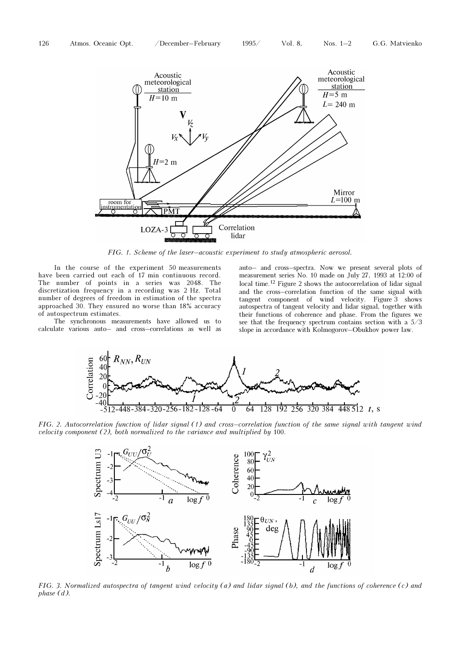

FIG. 1. Scheme of the laser–acoustic experiment to study atmospheric aerosol.

In the course of the experiment 50 measurements have been carried out each of 17 min continuous record. The number of points in a series was 2048. The discretization frequency in a recording was 2 Hz. Total number of degrees of freedom in estimation of the spectra approached 30. They ensured no worse than 18% accuracy of autospectrum estimates.

The synchronous measurements have allowed us to calculate various auto– and cross–correlations as well as auto– and cross–spectra. Now we present several plots of measurement series No. 10 made on July 27, 1993 at 12:00 of local time.<sup>12</sup> Figure 2 shows the autocorrelation of lidar signal and the cross–correlation function of the same signal with tangent component of wind velocity. Figure 3 shows autospectra of tangent velocity and lidar signal, together with their functions of coherence and phase. From the figures we see that the frequency spectrum contains section with a 5/3 slope in accordance with Kolmogorov–Obukhov power law.



FIG. 2. Autocorrelation function of lidar signal (1) and cross–correlation function of the same signal with tangent wind velocity component (2), both normalized to the variance and multiplied by 100.



FIG. 3. Normalized autospectra of tangent wind velocity (a) and lidar signal (b), and the functions of coherence (c) and phase (d).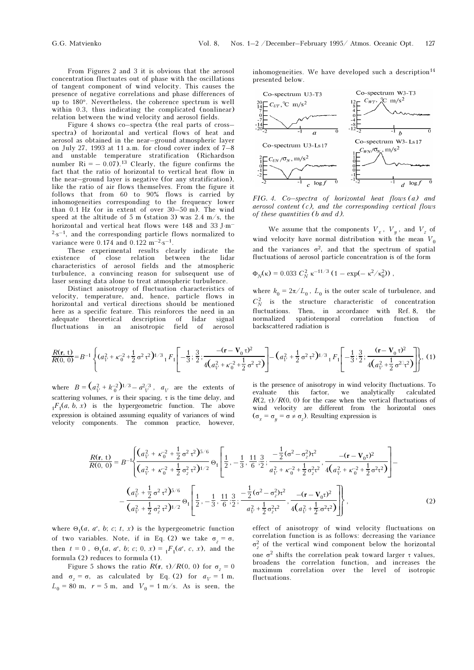From Figures 2 and 3 it is obvious that the aerosol concentration fluctuates out of phase with the oscillations of tangent component of wind velocity. This causes the presence of negative correlations and phase differences of up to 180°. Nevertheless, the coherence spectrum is well within 0.3, thus indicating the complicated (nonlinear) relation between the wind velocity and aerosol fields.

Figure 4 shows co–spectra (the real parts of cross– spectra) of horizontal and vertical flows of heat and aerosol as obtained in the near–ground atmospheric layer on July 27, 1993 at 11 a.m. for cloud cover index of  $7-8$ and unstable temperature stratification (Richardson number  $\text{Ri} = -0.07$ .<sup>13</sup> Clearly, the figure confirms the fact that the ratio of horizontal to vertical heat flow in the near–ground layer is negative (for any stratification), like the ratio of air flows themselves. From the figure it follows that from 60 to 90% flows is carried by inhomogeneities corresponding to the frequency lower than 0.1 Hz (or in extent of over 30–50 m). The wind speed at the altitude of 5 m (station 3) was 2.4 m/s, the horizontal and vertical heat flows were 148 and 33 J⋅m<sup>-</sup>  $2\text{-}s^{-1}$ , and the corresponding particle flows normalized to variance were 0.174 and 0.122 m<sup>-2</sup>⋅s<sup>-1</sup>.

These experimental results clearly indicate the existence of close relation between the lidar characteristics of aerosol fields and the atmospheric turbulence, a convincing reason for subsequent use of laser sensing data alone to treat atmospheric turbulence.

Distinct anisotropy of fluctuation characteristics of velocity, temperature, and, hence, particle flows in horizontal and vertical directions should be mentioned here as a specific feature. This reinforces the need in an adequate theoretical description of lidar signal fluctuations in an anisotropic field of aerosol

inhomogeneities. We have developed such a description<sup>14</sup> presented below.



FIG. 4. Co–spectra of horizontal heat flows (a) and aerosol content  $(c)$ , and the corresponding vertical flows of these quantities (b and d).

We assume that the components  $V_x$ ,  $V_y$ , and  $V_z$  of wind velocity have normal distribution with the mean  $V_0$ and the variances  $\sigma^2$ , and that the spectrum of spatial fluctuations of aerosol particle concentration is of the form

$$
\Phi_N(\kappa) = 0.033 \ C_N^2 \ \kappa^{-11/3} \ (1 - \exp(-\kappa^2/\kappa_0^2)) \ ,
$$

where  $k_0 = 2\pi/L_0$ ,  $L_0$  is the outer scale of turbulence, and  $C_N^2$  is the structure characteristic of concentration fluctuations. Then, in accordance with Ref. 8, the normalized spatiotemporal correlation function backscattered radiation is

$$
\frac{R(\mathbf{r},t)}{R(0,0)} = B^{-1} \left\{ (a_V^2 + \kappa_0^{-2} + \frac{1}{2} \sigma^2 \tau^2)^{1/3} {}_{1}F_1 \left[ -\frac{1}{3}; \frac{3}{2}; \frac{-(\mathbf{r} - \mathbf{V}_0 \tau)^2}{4(a_V^2 + \kappa_0^{-2} + \frac{1}{2} \sigma^2 \tau^2)} \right] - \left(a_V^2 + \frac{1}{2} \sigma^2 \tau^2\right)^{1/3} {}_{1}F_1 \left[ -\frac{1}{3}; \frac{3}{2}; \frac{(\mathbf{r} - \mathbf{V}_0 \tau)^2}{4(a_V^2 + \frac{1}{2} \sigma^2 \tau^2)} \right] \right\},
$$
(1)

where  $B = (a_V^2 + k_0^{-2})^{1/3} - a_V^{2/3}$ ,  $a_V$  are the extents of scattering volumes, r is their spacing,  $\tau$  is the time delay, and  ${}_{1}F_{1}(a, b, x)$  is the hypergeometric function. The above expression is obtained assuming equality of variances of wind velocity components. The common practice, however,

is the presence of anisotropy in wind velocity fluctuations. To evaluate this factor, we analytically calculated  $R(2, \tau)/R(0, 0)$  for the case when the vertical fluctuations of wind velocity are different from the horizontal ones  $(\sigma_x = \sigma_y = \sigma \neq \sigma_z)$ . Resulting expression is

$$
\frac{R(\mathbf{r}, t)}{R(0, 0)} = B^{-1} \left\{ \frac{(a_V^2 + \kappa_0^{-2} + \frac{1}{2} \sigma^2 \tau^2)^{5/6}}{(a_V^2 + \kappa_0^{-2} + \frac{1}{2} \sigma^2 \tau^2)^{1/2}} \Theta_1 \left[ \frac{1}{2}, -\frac{1}{3}, \frac{11}{6}, \frac{3}{2}; \frac{-\frac{1}{2} (\sigma^2 - \sigma^2 \tau^2)}{a_V^2 + \kappa_0^{-2} + \frac{1}{2} \sigma^2 \tau^2}, \frac{-(\mathbf{r} - \mathbf{V}_0 \tau)^2}{4(a_V^2 + \kappa_0^{-2} + \frac{1}{2} \sigma^2 \tau^2)} \right] - \frac{(a_V^2 + \frac{1}{2} \sigma^2 \tau^2)^{5/6}}{(a_V^2 + \frac{1}{2} \sigma^2 \tau^2)^{1/2}} \Theta_1 \left[ \frac{1}{2}, -\frac{1}{3}, \frac{11}{6}, \frac{3}{2}; \frac{-\frac{1}{2} (\sigma^2 - \sigma^2 \tau^2)}{a_V^2 + \frac{1}{2} \sigma^2 \tau^2}, \frac{-(\mathbf{r} - \mathbf{V}_0 \tau)^2}{4(a_V^2 + \frac{1}{2} \sigma^2 \tau^2)} \right] \right\},
$$
\n(2)

where  $\Theta_1(a, a', b; c; t, x)$  is the hypergeometric function of two variables. Note, if in Eq. (2) we take  $\sigma_z = \sigma$ , then  $t = 0$ ,  $\Theta_1(a, a', b; c; 0, x) = {}_1F_1(a', c, x)$ , and the formula (2) reduces to formula (1).

Figure 5 shows the ratio  $R(\mathbf{r}, \tau)/R(0, 0)$  for  $\sigma_z = 0$ and  $\sigma_z = \sigma$ , as calculated by Eq. (2) for  $a_V = 1$  m,  $L_0 = 80$  m,  $r = 5$  m, and  $V_0 = 1$  m/s. As is seen, the

effect of anisotropy of wind velocity fluctuations on correlation function is as follows: decreasing the variance  $\sigma_z^2$  of the vertical wind component below the horizontal one  $σ²$  shifts the correlation peak toward larger τ values, broadens the correlation function, and increases the maximum correlation over the level of isotropic fluctuations.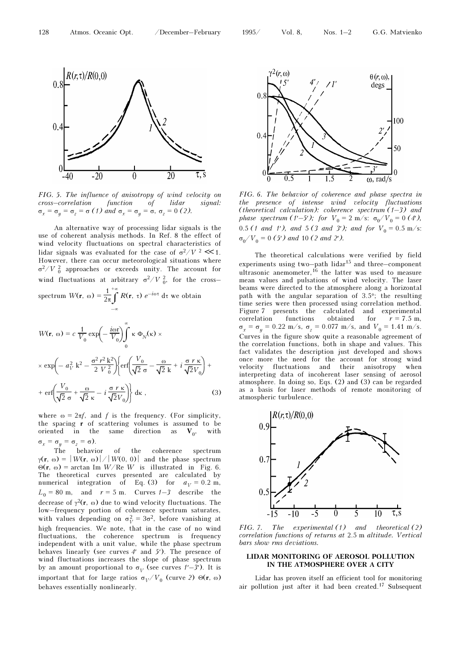

FIG. 5. The influence of anisotropy of wind velocity on cross–correlation function of lidar signal:  $\sigma_x = \sigma_y = \sigma_z = \sigma(1)$  and  $\sigma_x = \sigma_y = \sigma$ ,  $\sigma_z = 0$  (2).

An alternative way of processing lidar signals is the use of coherent analysis methods. In Ref. 8 the effect of wind velocity fluctuations on spectral characteristics of lidar signals was evaluated for the case of  $\sigma^2/V^2 \ll 1$ . However, there can occur meteorological situations where  $σ<sup>2</sup>/V<sub>0</sub><sup>2</sup>$  approaches or exceeds unity. The account for wind fluctuations at arbitrary  $\sigma^2/V_{0}^2$ , for the cross-

spectrum  $W(\mathbf{r}, \omega) = \frac{1}{2\pi} \int_0^{+\infty}$ –∞ +∞<br>  $\int$  R(r, τ)  $e^{-i\omega\tau}$  dτ we obtain

$$
W(\mathbf{r}, \omega) = c \frac{1}{V_0} \exp\left(-\frac{i\omega \mathbf{r}}{V_0}\right) \int_0^{\infty} \kappa \Phi_N(\kappa) \times
$$
  
 
$$
\times \exp\left(-a_V^2 k^2 - \frac{\sigma^2 r^2 k^2}{2 V_0^2}\right) \left\{ \text{erf}\left(\frac{V_0}{\sqrt{2} \sigma} - \frac{\omega}{\sqrt{2} k} + i \frac{\sigma r \kappa}{\sqrt{2} V_0}\right) + \right.
$$
  
+ 
$$
\text{erf}\left(\frac{V_0}{\sqrt{2} \sigma} + \frac{\omega}{\sqrt{2} \kappa} - i \frac{\sigma r \kappa}{\sqrt{2} V_0}\right) \right\} d\kappa ,
$$
 (3)

where  $\omega = 2\pi f$ , and f is the frequency. (For simplicity, the spacing r of scattering volumes is assumed to be oriented in the same direction as  $V_0$ , with  $\sigma_x = \sigma_y = \sigma_z = \sigma$ ).

The behavior of the coherence spectrum  $\gamma(\mathbf{r}, \omega) = |W(\mathbf{r}, \omega)| / |W(0, 0)|$  and the phase spectrum Θ(r, ω) = arctan Im W/Re W is illustrated in Fig. 6. The theoretical curves presented are calculated by numerical integration of Eq. (3) for  $a_V = 0.2$  m,  $L_0 = 80$  m, and  $r = 5$  m. Curves  $1\overline{-3}$  describe the decrease of  $\gamma^2(\mathbf{r}, \omega)$  due to wind velocity fluctuations. The low–frequency portion of coherence spectrum saturates, with values depending on  $\sigma_V^2 = 3\sigma^2$ , before vanishing at high frequencies. We note, that in the case of no wind fluctuations, the coherence spectrum is frequency independent with a unit value, while the phase spectrum behaves linearly (see curves  $4'$  and  $5'$ ). The presence of wind fluctuations increases the slope of phase spectrum by an amount proportional to  $\sigma_V$  (see curves  $1'$ –3'). It is important that for large ratios  $\sigma_V/V_0$  (curve 2) Θ(r, ω) behaves essentially nonlinearly.



FIG. 6. The behavior of coherence and phase spectra in the presence of intense wind velocity fluctuations (theoretical calculation): coherence spectrum  $(1-3)$  and phase spectrum (1'-5'); for  $V_0 = 2 \text{ m/s}: \sigma_0/V_0 = 0$  (4'), 0.5 (1 and 1'), and 5 (3 and 3'); and for  $V_0 = 0.5$  m/s:  $\sigma_0/V_0 = 0$  (5') and 10 (2 and 2').

The theoretical calculations were verified by field experiments using two–path lidar<sup>15</sup> and three–component ultrasonic anemometer, $^{16}$  the latter was used to measure mean values and pulsations of wind velocity. The laser beams were directed to the atmosphere along a horizontal path with the angular separation of 3.5°; the resulting time series were then processed using correlation method. Figure 7 presents the calculated and experimental correlation functions obtained for  $r = 7.5$  m,  $\sigma_x = \sigma_y = 0.22$  m/s,  $\sigma_z = 0.077$  m/s, and  $V_0 = 1.41$  m/s. Curves in the figure show quite a reasonable agreement of the correlation functions, both in shape and values. This fact validates the description just developed and shows once more the need for the account for strong wind velocity fluctuations and their anisotropy when interpreting data of incoherent laser sensing of aerosol atmosphere. In doing so, Eqs. (2) and (3) can be regarded as a basis for laser methods of remote monitoring of atmospheric turbulence.



FIG. 7. The experimental (1) and theoretical (2) correlation functions of returns at 2.5 m altitude. Vertical bars show rms deviations.

### LIDAR MONITORING OF AEROSOL POLLUTION IN THE ATMOSPHERE OVER A CITY

Lidar has proven itself an efficient tool for monitoring air pollution just after it had been created.17 Subsequent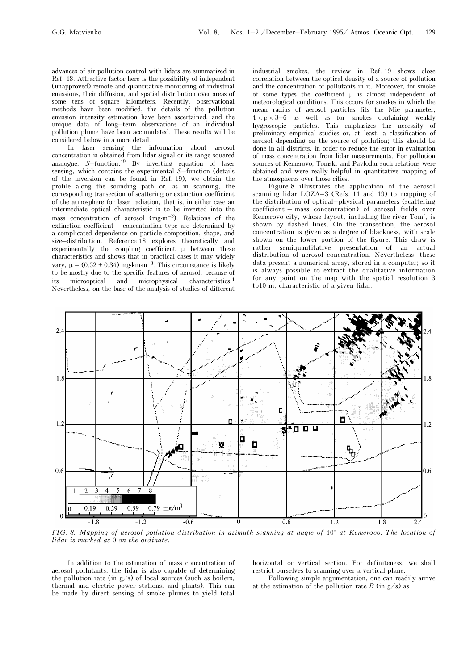advances of air pollution control with lidars are summarized in Ref. 18. Attractive factor here is the possibility of independent (unapproved) remote and quantitative monitoring of industrial emissions, their diffusion, and spatial distribution over areas of some tens of square kilometers. Recently, observational methods have been modified, the details of the pollution emission intensity estimation have been ascertained, and the unique data of long–term observations of an individual pollution plume have been accumulated. These results will be considered below in a more detail.

In laser sensing the information about aerosol concentration is obtained from lidar signal or its range squared analogue, S–function.19 By inverting equation of laser sensing, which contains the experimental S–function (details of the inversion can be found in Ref. 19), we obtain the profile along the sounding path or, as in scanning, the corresponding transection of scattering or extinction coefficient of the atmosphere for laser radiation, that is, in either case an intermediate optical characteristic is to be inverted into the mass concentration of aerosol  $(mg·m<sup>-3</sup>)$ . Relations of the extinction coefficient – concentration type are determined by a complicated dependence on particle composition, shape, and size–distribution. Reference 18 explores theoretically and experimentally the coupling coefficient  $\mu$  between these characteristics and shows that in practical cases it may widely vary,  $\mu = (0.52 \pm 0.34)$  mg⋅km⋅m<sup>-3</sup>. This circumstance is likely to be mostly due to the specific features of aerosol, because of its microoptical and microphysical characteristics.<sup>1</sup> Nevertheless, on the base of the analysis of studies of different industrial smokes, the review in Ref. 19 shows close correlation between the optical density of a source of pollution and the concentration of pollutants in it. Moreover, for smoke of some types the coefficient  $\mu$  is almost independent of meteorological conditions. This occurs for smokes in which the mean radius of aerosol particles fits the Mie parameter,  $1 < \rho < 3-6$  as well as for smokes containing weakly hygroscopic particles. This emphasizes the necessity of preliminary empirical studies or, at least, a classification of aerosol depending on the source of pollution; this should be done in all districts, in order to reduce the error in evaluation of mass concentration from lidar measurements. For pollution sources of Kemerovo, Tomsk, and Pavlodar such relations were obtained and were really helpful in quantitative mapping of the atmospheres over those cities.

Figure 8 illustrates the application of the aerosol scanning lidar LOZA–3 (Refs. 11 and 19) to mapping of the distribution of optical–physical parameters (scattering coefficient – mass concentration) of aerosol fields over Kemerovo city, whose layout, including the river Tom', is shown by dashed lines. On the transection, the aerosol concentration is given as a degree of blackness, with scale shown on the lower portion of the figure. This draw is rather semiquantitative presentation of an actual distribution of aerosol concentration. Nevertheless, these data present a numerical array, stored in a computer; so it is always possible to extract the qualitative information for any point on the map with the spatial resolution 3 to10 m, characteristic of a given lidar.



FIG. 8. Mapping of aerosol pollution distribution in azimuth scanning at angle of 10° at Kemerovo. The location of lidar is marked as 0 on the ordinate.

In addition to the estimation of mass concentration of aerosol pollutants, the lidar is also capable of determining the pollution rate (in  $g/s$ ) of local sources (such as boilers, thermal and electric power stations, and plants). This can be made by direct sensing of smoke plumes to yield total

horizontal or vertical section. For definiteness, we shall restrict ourselves to scanning over a vertical plane.

Following simple argumentation, one can readily arrive at the estimation of the pollution rate B (in  $g/s$ ) as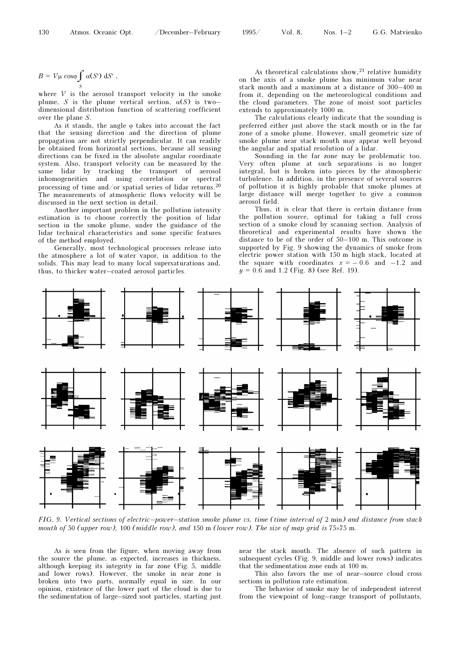$B = V\mu \cos\varphi \int \alpha(S') dS'$ , S

where  $V$  is the aerosol transport velocity in the smoke plume, S is the plume vertical section,  $\alpha(S)$  is two– dimensional distribution function of scattering coefficient over the plane S.

As it stands, the angle  $\varphi$  takes into account the fact that the sensing direction and the direction of plume propagation are not strictly perpendicular. It can readily be obtained from horizontal sections, because all sensing directions can be fixed in the absolute angular coordinate system. Also, transport velocity can be measured by the same lidar by tracking the transport of aerosol inhomogeneities and using correlation or spectral processing of time and/or spatial series of lidar returns.<sup>20</sup> The measurements of atmospheric flows velocity will be discussed in the next section in detail.

Another important problem in the pollution intensity estimation is to choose correctly the position of lidar section in the smoke plume, under the guidance of the lidar technical characteristics and some specific features of the method employed.

Generally, most technological processes release into the atmosphere a lot of water vapor, in addition to the solids. This may lead to many local supersaturations and, thus, to thicker water–coated aerosol particles.

As theoretical calculations show,  $21$  relative humidity on the axis of a smoke plume has minimum value near stack mouth and a maximum at a distance of 300–400 m from it, depending on the meteorological conditions and the cloud parameters. The zone of moist soot particles extends to approximately 1000 m.

The calculations clearly indicate that the sounding is preferred either just above the stack mouth or in the far zone of a smoke plume. However, small geometric size of smoke plume near stack mouth may appear well beyond the angular and spatial resolution of a lidar.

Sounding in the far zone may be problematic too. Very often plume at such separations is no longer integral, but is broken into pieces by the atmospheric turbulence. In addition, in the presence of several sources of pollution it is highly probable that smoke plumes at large distance will merge together to give a common aerosol field.

Thus, it is clear that there is certain distance from the pollution source, optimal for taking a full cross section of a smoke cloud by scanning section. Analysis of theoretical and experimental results have shown the distance to be of the order of 50–100 m. This outcome is supported by Fig. 9 showing the dynamics of smoke from electric power station with 150 m high stack, located at the square with coordinates  $x = -0.6$  and  $-1.2$  and  $y = 0.6$  and 1.2 (Fig. 8) (see Ref. 19).



FIG. 9. Vertical sections of electric–power–station smoke plume vs. time (time interval of 2 min) and distance from stack mouth of 50 (upper row), 100 (middle row), and 150 m (lower row). The size of map grid is 75 $\times$ 75 m.

As is seen from the figure, when moving away from the source the plume, as expected, increases in thickness, although keeping its integrity in far zone (Fig. 5, middle and lower rows). However, the smoke in near zone is broken into two parts, normally equal in size. In our opinion, existence of the lower part of the cloud is due to the sedimentation of large–sized soot particles, starting just

near the stack mouth. The absence of such pattern in subsequent cycles (Fig. 9, middle and lower rows) indicates that the sedimentation zone ends at 100 m.

This also favors the use of near–source cloud cross sections in pollution rate estimation.

The behavior of smoke may be of independent interest from the viewpoint of long–range transport of pollutants,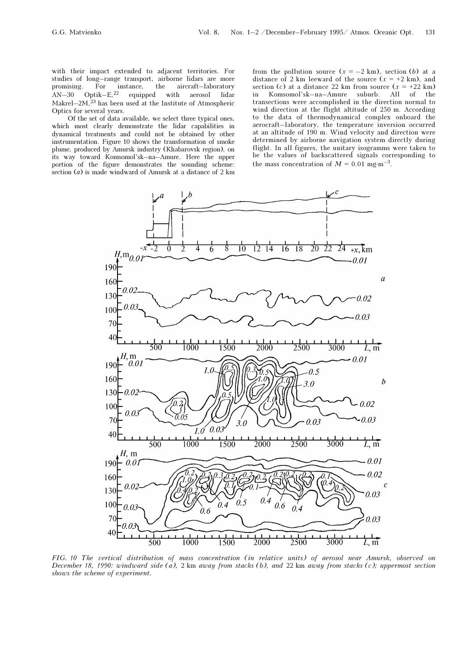with their impact extended to adjacent territories. For studies of long–range transport, airborne lidars are more promising. For instance, the aircraft–laboratory  $AN-30$  Optik–E,<sup>22</sup> equipped with aerosol lidar  $AN-30$   $Optik-E, <sup>22</sup>$  equipped with aerosol lidar Makrel–2M, $^{23}$  has been used at the Institute of Atmospheric Optics for several years.

Of the set of data available, we select three typical ones, which most clearly demonstrate the lidar capabilities in dynamical treatments and could not be obtained by other instrumentation. Figure 10 shows the transformation of smoke plume, produced by Amursk industry (Khabarovsk region), on its way toward Komsomol'sk–na–Amure. Here the upper portion of the figure demonstrates the sounding scheme: section  $(a)$  is made windward of Amursk at a distance of 2 km from the pollution source  $(x = -2 \text{ km})$ , section (b) at a distance of 2 km leeward of the source  $(x = +2$  km), and section (c) at a distance 22 km from source  $(x = +22 \text{ km})$ <br>in Komsomol'sk-na-Amure suburb. All of the in Komsomol'sk–na–Amure suburb. All of the transections were accomplished in the direction normal to wind direction at the flight altitude of 250 m. According to the data of thermodynamical complex onboard the aerocraft–laboratory, the temperature inversion occurred at an altitude of 190 m. Wind velocity and direction were determined by airborne navigation system directly during flight. In all figures, the unitary isogramms were taken to be the values of backscattered signals corresponding to the mass concentration of  $M = 0.01$  mg⋅m<sup>-3</sup>.



FIG. 10 The vertical distribution of mass concentration (in relative units) of aerosol near Amursk, observed on December 18, 1990: windward side (a), 2 km away from stacks (b), and 22 km away from stacks (c); uppermost section shows the scheme of experiment.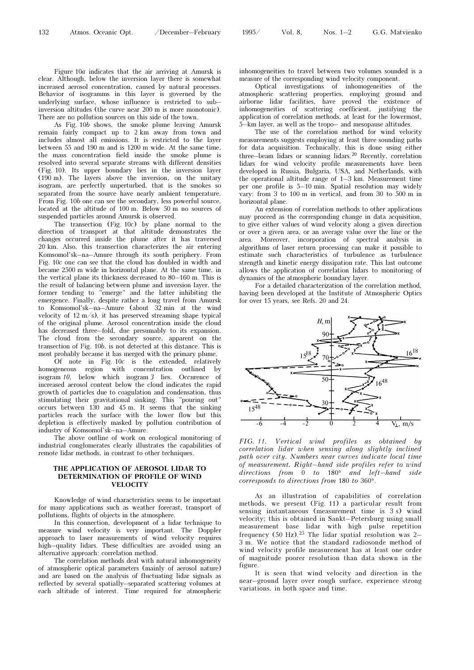Figure 10a indicates that the air arriving at Amursk is clear. Although, below the inversion layer there is somewhat increased aerosol concentration, caused by natural processes. Behavior of isogramms in this layer is governed by the underlying surface, whose influence is restricted to sub– inversion altitudes (the curve near 200 m is more monotonic). There are no pollution sources on this side of the town.

As Fig. 10b shows, the smoke plume leaving Amursk remain fairly compact up to 2 km away from town and includes almost all emissions. It is restricted to the layer between 55 and 190 m and is 1200 m wide. At the same time, the mass concentration field inside the smoke plume is resolved into several separate streams with different densities (Fig. 10). Its upper boundary lies in the inversion layer (190 m). The layers above the inversion, on the unitary isogram, are perfectly unperturbed, that is the smokes so separated from the source have nearly ambient temperature. From Fig. 10b one can see the secondary, less powerful source, located at the altitude of 100 m. Below 50 m no sources of suspended particles around Amursk is observed.

The transection (Fig. 10c) by plane normal to the direction of transport at that altitude demonstrates the changes occurred inside the plume after it has traversed 20 km. Also, this transection characterizes the air entering Komsomol'sk–na–Amure through its south periphery. From Fig. 10c one can see that the cloud has doubled in width and became 2500 m wide in horizontal plane. At the same time, in the vertical plane its thickness decreased to 80–160 m. This is the result of balancing between plume and inversion layer, the former tending to "emerge" and the latter inhibiting the emergence. Finally, despite rather a long travel from Amursk to Komsomol'sk–na–Amure (about 32 min at the wind velocity of 12 m/s), it has preserved streaming shape typical of the original plume. Aerosol concentration inside the cloud has decreased three–fold, due presumably to its expansion. The cloud from the secondary source, apparent on the transection of Fig. 10b, is not detected at this distance. This is most probably because it has merged with the primary plume.

Of note in Fig.  $10c$  is the extended, relatively homogeneous region with concentration outlined by isogram 10, below which isogram 3 lies. Occurence of increased aerosol content below the cloud indicates the rapid growth of particles due to coagulation and condensation, thus stimulating their gravitational sinking. This "pouring out" occurs between 130 and 45 m. It seems that the sinking particles reach the surface with the lower flow but this depletion is effectively masked by pollution contribution of industry of Komsomol'sk–na–Amure.

The above outline of work on ecological monitoring of industrial conglomerates clearly illustrates the capabilities of remote lidar methods, in contrast to other techniques.

#### THE APPLICATION OF AEROSOL LIDAR TO DETERMINATION OF PROFILE OF WIND **VELOCITY**

Knowledge of wind characteristics seems to be important for many applications such as weather forecast, transport of pollutions, flights of objects in the atmosphere.

In this connection, development of a lidar technique to measure wind velocity is very important. The Doppler approach to laser measurements of wind velocity requires high–quality lidars. These difficulties are avoided using an alternative approach: correlation method.

The correlation methods deal with natural inhomogeneity of atmospheric optical parameters (mainly of aerosol nature) and are based on the analysis of fluctuating lidar signals as reflected by several spatially–separated scattering volumes at each altitude of interest. Time required for atmospheric

inhomogeneities to travel between two volumes sounded is a measure of the corresponding wind velocity component.

Optical investigations of inhomogeneities of the atmospheric scattering properties, employing ground and airborne lidar facilities, have proved the existence of inhomogeneities of scattering coefficient, justifying the application of correlation methods, at least for the lowermost, 5–km layer, as well as the tropo– and mesopause altitudes.

The use of the correlation method for wind velocity measurements suggests employing at least three sounding paths for data acquisition. Technically, this is done using either three–beam lidars or scanning lidars.<sup>20</sup> Recently, correlation lidars for wind velocity profile measurements have been developed in Russia, Bulgaria, USA, and Netherlands, with the operational altitude range of 1–3 km. Measurement time per one profile is 5–10 min. Spatial resolution may widely vary: from 3 to 100 m in vertical, and from 30 to 500 m in horizontal plane.

An extension of correlation methods to other applications may proceed as the corresponding change in data acquisition, to give either values of wind velocity along a given direction or over a given area, or an average value over the line or the area. Moreover, incorporation of spectral analysis in algorithms of laser return processing can make it possible to estimate such characteristics of turbulence as turbulence strength and kinetic energy dissipation rate. This last outcome allows the application of correlation lidars to monitoring of dynamics of the atmospheric boundary layer.

For a detailed characterization of the correlation method, having been developed at the Institute of Atmospheric Optics for over 15 years, see Refs. 20 and 24.



FIG. 11. Vertical wind profiles as obtained by correlation lidar when sensing along slightly inclined path over city. Numbers near curves indicate local time of measurement. Right–hand side profiles refer to wind directions from 0 to 180° and left-hand side corresponds to directions from 180 to 360°.

As an illustration of capabilities of correlation methods, we present (Fig. 11) a particular result from sensing instantaneous (measurement time is 3 s) wind velocity; this is obtained in Sankt–Petersburg using small measurement base lidar with high pulse repetition frequency (50 Hz).<sup>25</sup> The lidar spatial resolution was 2– 3 m. We notice that the standard radiosonde method of wind velocity profile measurement has at least one order of magnitude poorer resolution than data shown in the figure.

It is seen that wind velocity and direction in the near–ground layer over rough surface, experience strong variations, in both space and time.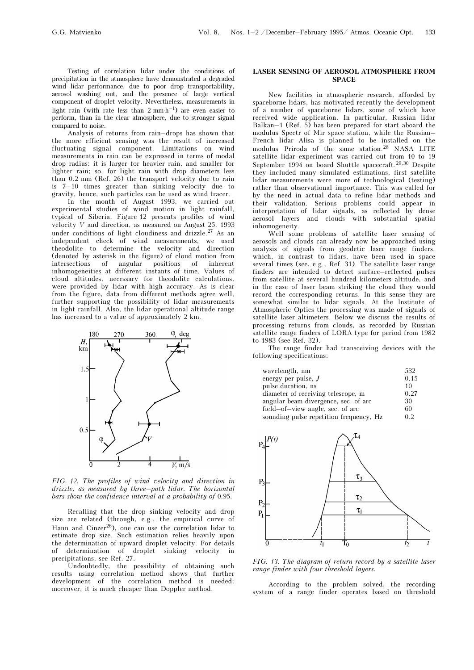Testing of correlation lidar under the conditions of precipitation in the atmosphere have demonstrated a degraded wind lidar performance, due to poor drop transportability, aerosol washing out, and the presence of large vertical component of droplet velocity. Nevertheless, measurements in light rain (with rate less than  $2 \text{ mm} \cdot \text{h}^{-1}$ ) are even easier to perform, than in the clear atmosphere, due to stronger signal compared to noise.

Analysis of returns from rain–drops has shown that the more efficient sensing was the result of increased fluctuating signal component. Limitations on wind measurements in rain can be expressed in terms of modal drop radius: it is larger for heavier rain, and smaller for lighter rain; so, for light rain with drop diameters less than 0.2 mm (Ref. 26) the transport velocity due to rain is 7–10 times greater than sinking velocity due to gravity, hence, such particles can be used as wind tracer.

In the month of August 1993, we carried out experimental studies of wind motion in light rainfall, typical of Siberia. Figure 12 presents profiles of wind velocity V and direction, as measured on August 25, 1993 under conditions of light cloudiness and drizzle.27 As an independent check of wind measurements, we used theodolite to determine the velocity and direction (denoted by asterisk in the figure) of cloud motion from intersections of angular positions of inherent inhomogeneities at different instants of time. Values of cloud altitudes, necessary for theodolite calculations, were provided by lidar with high accuracy. As is clear from the figure, data from different methods agree well, further supporting the possibility of lidar measurements in light rainfall. Also, the lidar operational altitude range has increased to a value of approximately 2 km.



FIG. 12. The profiles of wind velocity and direction in drizzle, as measured by three–path lidar. The horizontal bars show the confidence interval at a probability of 0.95.

Recalling that the drop sinking velocity and drop size are related (through, e.g., the empirical curve of Hann and Cinzer<sup>26</sup>), one can use the correlation lidar to estimate drop size. Such estimation relies heavily upon the determination of upward droplet velocity. For details of determination of droplet sinking velocity in precipitations, see Ref. 27.

Undoubtedly, the possibility of obtaining such results using correlation method shows that further development of the correlation method is needed; moreover, it is much cheaper than Doppler method.

#### LASER SENSING OF AEROSOL ATMOSPHERE FROM **SPACE**

New facilities in atmospheric research, afforded by spaceborne lidars, has motivated recently the development of a number of spaceborne lidars, some of which have received wide application. In particular, Russian lidar Balkan–1 (Ref.  $\overline{5}$ ) has been prepared for start aboard the modulus Spectr of Mir space station, while the Russian– French lidar Alisa is planned to be installed on the modulus Priroda of the same station.28 NASA LITE satellite lidar experiment was carried out from 10 to 19 September 1994 on board Shuttle spacecraft.<sup>29,30</sup> Despite they included many simulated estimations, first satellite lidar measurements were more of technological (testing) rather than observational importance. This was called for by the need in actual data to refine lidar methods and their validation. Serious problems could appear in interpretation of lidar signals, as reflected by dense aerosol layers and clouds with substantial spatial inhomogeneity.

Well some problems of satellite laser sensing of aerosols and clouds can already now be approached using analysis of signals from geodetic laser range finders, which, in contrast to lidars, have been used in space several times (see, e.g., Ref. 31). The satellite laser range finders are intended to detect surface–reflected pulses from satellite at several hundred kilometers altitude, and in the case of laser beam striking the cloud they would record the corresponding returns. In this sense they are somewhat similar to lidar signals. At the Institute of Atmospheric Optics the processing was made of signals of satellite laser altimeters. Below we discuss the results of processing returns from clouds, as recorded by Russian satellite range finders of LORA type for period from 1982 to 1983 (see Ref. 32).

The range finder had transceiving devices with the following specifications:

| wavelength, nm                          | 532. |
|-----------------------------------------|------|
| energy per pulse, $J$                   | 0.15 |
| pulse duration, ns                      | 10   |
| diameter of receiving telescope, m      | 0.27 |
| angular beam divergence, sec. of arc    | 30   |
| field-of-view angle, sec. of arc        | 60   |
| sounding pulse repetition frequency, Hz | 02   |



FIG. 13. The diagram of return record by a satellite laser range finder with four threshold layers.

According to the problem solved, the recording system of a range finder operates based on threshold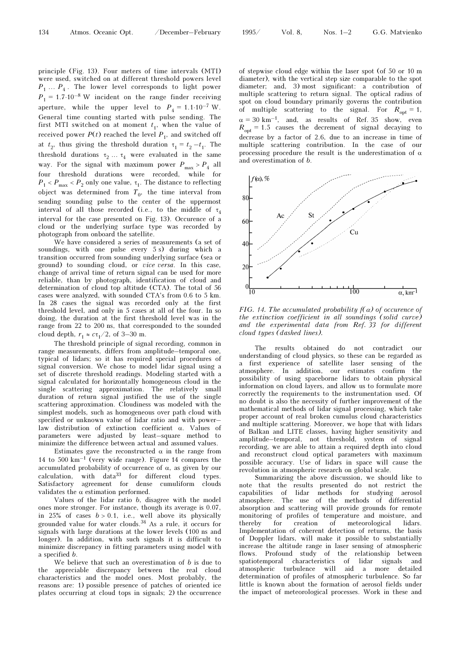principle (Fig. 13). Four meters of time intervals (MTI) were used, switched on at different threshold powers level  $P_1 \ldots P_4$ . The lower level corresponds to light power  $P_1 = 1.7 \cdot 10^{-8}$  W incident on the range finder receiving aperture, while the upper level to  $P_4 = 1.1 \cdot 10^{-7}$  W. General time counting started with pulse sending. The first MTI switched on at moment  $t_1$ , when the value of received power  $P(t)$  reached the level  $P_1$ , and switched off at  $t_2$ , thus giving the threshold duration  $\tau_1 = t_2 - t_1$ . The threshold durations  $\tau_2 \ldots \tau_4$  were evaluated in the same way. For the signal with maximum power  $P_{\text{max}} > P_4$  all four threshold durations were recorded, while for  $P_1 < P_{\rm max} < P_2$  only one value,  $\tau_1$  . The distance to reflecting object was determined from  $T_0$ , the time interval from sending sounding pulse to the center of the uppermost interval of all those recorded (i.e., to the middle of  $\tau_A$ interval for the case presented on Fig. 13). Occurence of a cloud or the underlying surface type was recorded by photograph from onboard the satellite.

We have considered a series of measurements (a set of soundings, with one pulse every 5 s) during which a transition occurred from sounding underlying surface (sea or ground) to sounding cloud, or vice versa. In this case, change of arrival time of return signal can be used for more reliable, than by photograph, identification of cloud and determination of cloud top altitude (CTA). The total of 56 cases were analyzed, with sounded CTA's from 0.6 to 5 km. In 28 cases the signal was recorded only at the first threshold level, and only in 5 cases at all of the four. In so doing, the duration at the first threshold level was in the range from 22 to 200 ns, that corresponded to the sounded cloud depth,  $r_1 \approx c\tau_1/2$ , of 3–30 m.

The threshold principle of signal recording, common in range measurements, differs from amplitude–temporal one, typical of lidars; so it has required special procedures of signal conversion. We chose to model lidar signal using a set of discrete threshold readings. Modeling started with a signal calculated for horizontally homogeneous cloud in the single scattering approximation. The relatively small duration of return signal justified the use of the single scattering approximation. Cloudiness was modeled with the simplest models, such as homogeneous over path cloud with specified or unknown value of lidar ratio and with power– law distribution of extinction coefficient α. Values of parameters were adjusted by least–square method to minimize the difference between actual and assumed values.

Estimates gave the reconstructed  $\alpha$  in the range from 14 to 500  $km^{-1}$  (very wide range). Figure 14 compares the accumulated probability of occurrence of  $\alpha$ , as given by our  $\alpha$  calculation, with data<sup>33</sup> for different cloud types. Satisfactory agreement for dense cumuliform clouds validates the  $\alpha$  estimation performed.

Values of the lidar ratio b, disagree with the model ones more stronger. For instance, though its average is 0.07, in 25% of cases  $b > 0.1$ , i.e., well above its physically grounded value for water clouds.34 As a rule, it occurs for signals with large durations at the lower levels (100 ns and longer). In addition, with such signals it is difficult to minimize discrepancy in fitting parameters using model with a specified b.

We believe that such an overestimation of  $b$  is due to the appreciable discrepancy between the real cloud characteristics and the model ones. Most probably, the reasons are: 1) possible presence of patches of oriented ice plates occurring at cloud tops in signals; 2) the occurrence

of stepwise cloud edge within the laser spot (of 50 or 10 m diameter), with the vertical step size comparable to the spot diameter; and, 3) most significant: a contribution of multiple scattering to return signal. The optical radius of spot on cloud boundary primarily governs the contribution of multiple scattering to the signal. For  $R_{\text{opt}} = 1$ ,  $\alpha = 30 \text{ km}^{-1}$ , and, as results of Ref. 35 show, even  $R_{\text{opt}} = 1.5$  causes the decrement of signal decaying to decrease by a factor of 2.6, due to an increase in time of multiple scattering contribution. In the case of our processing procedure the result is the underestimation of  $\alpha$ and overestimation of b.



FIG. 14. The accumulated probability  $f(\alpha)$  of occurence of the extinction coefficient in all soundings (solid curve) and the experimental data from Ref. 33 for different cloud types (dashed lines).

The results obtained do not contradict our understanding of cloud physics, so these can be regarded as a first experience of satellite laser sensing of the atmosphere. In addition, our estimates confirm the possibility of using spaceborne lidars to obtain physical information on cloud layers, and allow us to formulate more correctly the requirements to the instrumentation used. Of no doubt is also the necessity of further improvement of the mathematical methods of lidar signal processing, which take proper account of real broken cumulus cloud characteristics and multiple scattering. Moreover, we hope that with lidars of Balkan and LITE classes, having higher sensitivity and amplitude–temporal, not threshold, system of signal recording, we are able to attain a required depth into cloud and reconstruct cloud optical parameters with maximum possible accuracy. Use of lidars in space will cause the revolution in atmospheric research on global scale.

Summarizing the above discussion, we should like to note that the results presented do not restrict the capabilities of lidar methods for studying aerosol atmosphere. The use of the methods of differential absorption and scattering will provide grounds for remote monitoring of profiles of temperature and moisture, and thereby for creation of meteorological lidars. Implementation of coherent detection of returns, the basis of Doppler lidars, will make it possible to substantially increase the altitude range in laser sensing of atmospheric flows. Profound study of the relationship between spatiotemporal characteristics of lidar signals and atmospheric turbulence will aid a more detailed determination of profiles of atmospheric turbulence. So far little is known about the formation of aerosol fields under the impact of meteorological processes. Work in these and